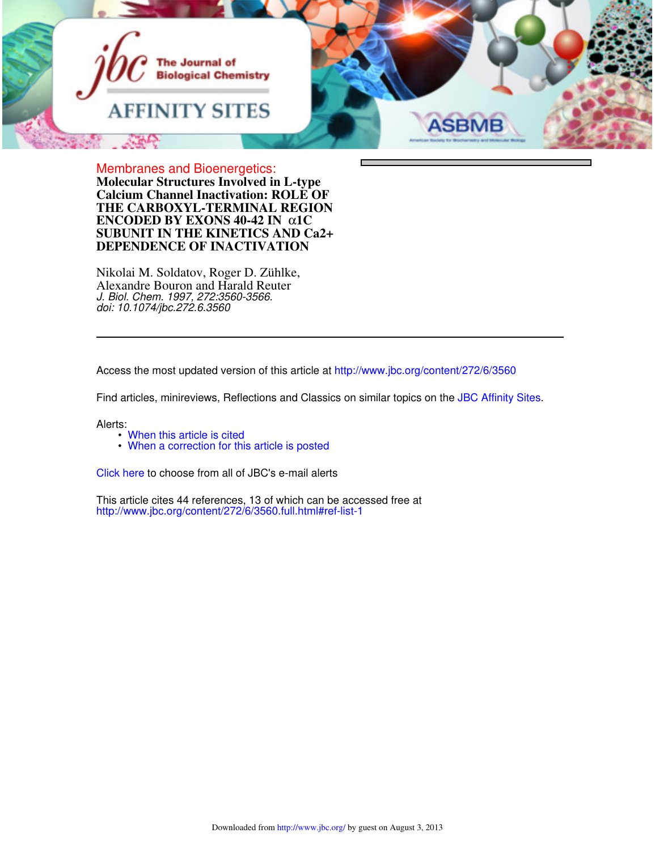

**DEPENDENCE OF INACTIVATION SUBUNIT IN THE KINETICS AND Ca2+ ENCODED BY EXONS 40-42 IN** α**1C THE CARBOXYL-TERMINAL REGION Calcium Channel Inactivation: ROLE OF Molecular Structures Involved in L-type** Membranes and Bioenergetics:

Alexandre Bouron and Harald Reuter Nikolai M. Soldatov, Roger D. Zühlke, *doi: 10.1074/jbc.272.6.3560 J. Biol. Chem. 1997, 272:3560-3566.*

Access the most updated version of this article at http://www.jbc.org/content/272/6/3560

Find articles, minireviews, Reflections and Classics on similar topics on the JBC Affinity Sites.

Alerts:

- When this article is cited
- When a correction for this article is posted

Click here to choose from all of JBC's e-mail alerts

http://www.jbc.org/content/272/6/3560.full.html#ref-list-1 This article cites 44 references, 13 of which can be accessed free at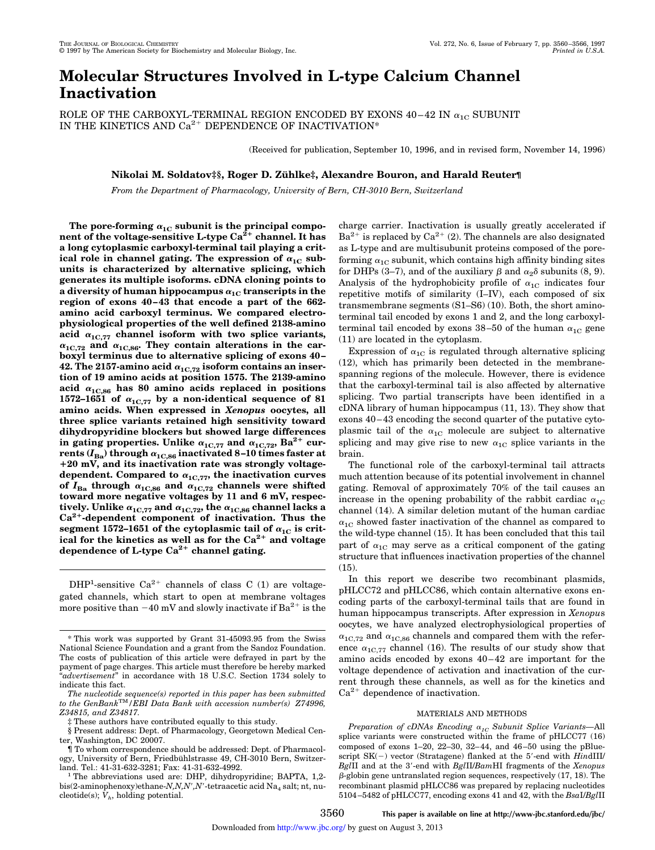# **Molecular Structures Involved in L-type Calcium Channel Inactivation**

ROLE OF THE CARBOXYL-TERMINAL REGION ENCODED BY EXONS  $40-42$  IN  $\alpha_{1C}$  SUBUNIT IN THE KINETICS AND  $Ca^{2+}$  DEPENDENCE OF INACTIVATION\*

(Received for publication, September 10, 1996, and in revised form, November 14, 1996)

## **Nikolai M. Soldatov‡§, Roger D. Zu¨ hlke‡, Alexandre Bouron, and Harald Reuter¶**

*From the Department of Pharmacology, University of Bern, CH-3010 Bern, Switzerland*

The pore-forming  $\alpha_{1C}$  subunit is the principal component of the voltage-sensitive L-type Ca<sup>2+</sup> channel. It has **a long cytoplasmic carboxyl-terminal tail playing a crit**ical role in channel gating. The expression of  $\alpha_{1C}$  sub**units is characterized by alternative splicing, which generates its multiple isoforms. cDNA cloning points to a** diversity of human hippocampus  $\alpha_{1C}$  transcripts in the **region of exons 40–43 that encode a part of the 662 amino acid carboxyl terminus. We compared electrophysiological properties of the well defined 2138-amino** acid  $\alpha_{1C,77}$  channel isoform with two splice variants,  $\alpha_{1C,72}$  and  $\alpha_{1C,86}$ . They contain alterations in the car**boxyl terminus due to alternative splicing of exons 40–** 42. The 2157-amino acid  $\alpha_{1C,72}$  isoform contains an inser**tion of 19 amino acids at position 1575. The 2139-amino** acid  $\alpha_{1C,86}$  has 80 amino acids replaced in positions 1572-1651 of  $\alpha_{1C,77}$  by a non-identical sequence of 81 **amino acids. When expressed in** *Xenopus* **oocytes, all three splice variants retained high sensitivity toward dihydropyridine blockers but showed large differences** in gating properties. Unlike  $\alpha_{1C,77}$  and  $\alpha_{1C,72}$ , Ba<sup>2+</sup> currents  $(I_{Ba})$  through  $\alpha_{1C,86}$  inactivated 8-10 times faster at 1**20 mV, and its inactivation rate was strongly voltage**dependent. Compared to  $\alpha_{1C,77}$ , the inactivation curves of  $I_{Ba}$  through  $\alpha_{1C,86}$  and  $\alpha_{1C,72}$  channels were shifted **toward more negative voltages by 11 and 6 mV, respectively.** Unlike  $\alpha_{1C,77}$  and  $\alpha_{1C,72}$ , the  $\alpha_{1C,86}$  channel lacks a **Ca2**<sup>1</sup> **-dependent component of inactivation. Thus the** segment 1572–1651 of the cytoplasmic tail of  $\alpha_{1C}$  is crit**ical for the kinetics as well as for the Ca2**<sup>1</sup> **and voltage dependence of L-type Ca2**<sup>1</sup> **channel gating.**

 $DHP<sup>1</sup>$ -sensitive  $Ca<sup>2+</sup>$  channels of class C (1) are voltagegated channels, which start to open at membrane voltages more positive than  $-40$  mV and slowly inactivate if Ba<sup>2+</sup> is the charge carrier. Inactivation is usually greatly accelerated if  $Ba^{2+}$  is replaced by  $Ca^{2+}$  (2). The channels are also designated as L-type and are multisubunit proteins composed of the poreforming  $\alpha_{1C}$  subunit, which contains high affinity binding sites for DHPs (3–7), and of the auxiliary  $\beta$  and  $\alpha_2$  $\delta$  subunits (8, 9). Analysis of the hydrophobicity profile of  $\alpha_{1C}$  indicates four repetitive motifs of similarity (I–IV), each composed of six transmembrane segments (S1–S6) (10). Both, the short aminoterminal tail encoded by exons 1 and 2, and the long carboxylterminal tail encoded by exons 38-50 of the human  $\alpha_{1C}$  gene (11) are located in the cytoplasm.

Expression of  $\alpha_{1C}$  is regulated through alternative splicing (12), which has primarily been detected in the membranespanning regions of the molecule. However, there is evidence that the carboxyl-terminal tail is also affected by alternative splicing. Two partial transcripts have been identified in a cDNA library of human hippocampus (11, 13). They show that exons 40–43 encoding the second quarter of the putative cytoplasmic tail of the  $\alpha_{1C}$  molecule are subject to alternative splicing and may give rise to new  $\alpha_{1C}$  splice variants in the brain.

The functional role of the carboxyl-terminal tail attracts much attention because of its potential involvement in channel gating. Removal of approximately 70% of the tail causes an increase in the opening probability of the rabbit cardiac  $\alpha_{1C}$ channel (14). A similar deletion mutant of the human cardiac  $\alpha_{1C}$  showed faster inactivation of the channel as compared to the wild-type channel (15). It has been concluded that this tail part of  $\alpha_{1C}$  may serve as a critical component of the gating structure that influences inactivation properties of the channel (15).

In this report we describe two recombinant plasmids, pHLCC72 and pHLCC86, which contain alternative exons encoding parts of the carboxyl-terminal tails that are found in human hippocampus transcripts. After expression in *Xenopu*s oocytes, we have analyzed electrophysiological properties of  $\alpha_{1C,72}$  and  $\alpha_{1C,86}$  channels and compared them with the reference  $\alpha_{1C,77}$  channel (16). The results of our study show that amino acids encoded by exons 40–42 are important for the voltage dependence of activation and inactivation of the current through these channels, as well as for the kinetics and  $Ca^{2+}$  dependence of inactivation.

## MATERIALS AND METHODS

## 3560 **This paper is available on line at http://www-jbc.stanford.edu/jbc/**

<sup>\*</sup> This work was supported by Grant 31-45093.95 from the Swiss National Science Foundation and a grant from the Sandoz Foundation. The costs of publication of this article were defrayed in part by the payment of page charges. This article must therefore be hereby marked "*advertisement*" in accordance with 18 U.S.C. Section 1734 solely to indicate this fact.

*The nucleotide sequence(s) reported in this paper has been submitted to the GenBank*TM*/EBI Data Bank with accession number(s) Z74996, Z34815, and Z34817.*

<sup>‡</sup> These authors have contributed equally to this study.

<sup>§</sup> Present address: Dept. of Pharmacology, Georgetown Medical Center, Washington, DC 20007.

<sup>¶</sup> To whom correspondence should be addressed: Dept. of Pharmacology, University of Bern, Friedbühlstrasse 49, CH-3010 Bern, Switzerland. Tel.: 41-31-632-3281; Fax: 41-31-632-4992.

<sup>1</sup> The abbreviations used are: DHP, dihydropyridine; BAPTA, 1,2 bis(2-aminophenoxy)ethane-*N,N,N',N'*-tetraacetic acid Na<sub>4</sub> salt; nt, nucleotide(s); *V<sup>h</sup>* , holding potential.

*Preparation of cDNAs Encoding* <sup>a</sup>*1C Subunit Splice Variants—*All splice variants were constructed within the frame of pHLCC77 (16) composed of exons 1–20, 22–30, 32–44, and 46–50 using the pBluescript  $SK(-)$  vector (Stratagene) flanked at the 5'-end with *HindIII BglII* and at the 3'-end with *BglII/BamHI* fragments of the *Xenopus*  $\beta$ -globin gene untranslated region sequences, respectively (17, 18). The recombinant plasmid pHLCC86 was prepared by replacing nucleotides 5104–5482 of pHLCC77, encoding exons 41 and 42, with the *Bsa*I/*Bgl*II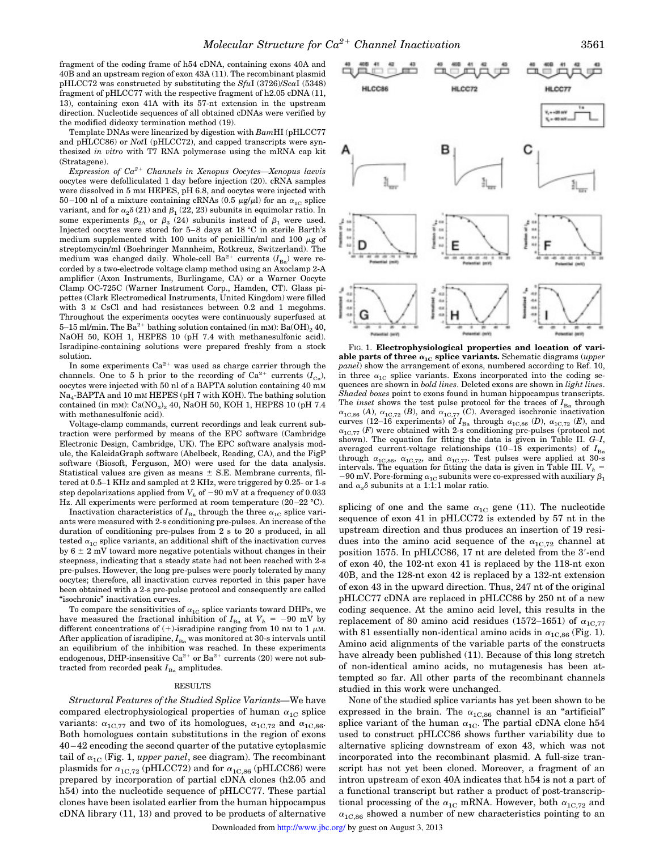fragment of the coding frame of h54 cDNA, containing exons 40A and 40B and an upstream region of exon 43A (11). The recombinant plasmid pHLCC72 was constructed by substituting the *Sfu*I (3726)/*Sca*I (5348) fragment of pHLCC77 with the respective fragment of h2.05 cDNA (11, 13), containing exon 41A with its 57-nt extension in the upstream direction. Nucleotide sequences of all obtained cDNAs were verified by the modified dideoxy termination method (19).

Template DNAs were linearized by digestion with *Bam*HI (pHLCC77 and pHLCC86) or *Not*I (pHLCC72), and capped transcripts were synthesized *in vitro* with T7 RNA polymerase using the mRNA cap kit (Stratagene).

*Expression of Ca2*<sup>1</sup> *Channels in Xenopus Oocytes—Xenopus laevis* oocytes were defolliculated 1 day before injection (20). cRNA samples were dissolved in 5 mM HEPES, pH 6.8, and oocytes were injected with 50–100 nl of a mixture containing cRNAs (0.5  $\mu$ g/ $\mu$ l) for an  $\alpha_{1C}$  splice variant, and for  $\alpha_2 \delta(21)$  and  $\beta_1$  (22, 23) subunits in equimolar ratio. In some experiments  $\beta_{2A}$  or  $\beta_3$  (24) subunits instead of  $\beta_1$  were used. Injected oocytes were stored for 5–8 days at 18 °C in sterile Barth's medium supplemented with 100 units of penicillin/ml and 100  $\mu$ g of streptomycin/ml (Boehringer Mannheim, Rotkreuz, Switzerland). The medium was changed daily. Whole-cell Ba<sup>2+</sup> currents ( $I_{Ba}$ ) were recorded by a two-electrode voltage clamp method using an Axoclamp 2-A amplifier (Axon Instruments, Burlingame, CA) or a Warner Oocyte Clamp OC-725C (Warner Instrument Corp., Hamden, CT). Glass pipettes (Clark Electromedical Instruments, United Kingdom) were filled with 3 M CsCl and had resistances between 0.2 and 1 megohms. Throughout the experiments oocytes were continuously superfused at 5–15 ml/min. The  $Ba^{2+}$  bathing solution contained (in mM):  $Ba(OH)_{2}$  40, NaOH 50, KOH 1, HEPES 10 (pH 7.4 with methanesulfonic acid). Isradipine-containing solutions were prepared freshly from a stock solution.

In some experiments  $Ca^{2+}$  was used as charge carrier through the channels. One to 5 h prior to the recording of  $Ca^{2+}$  currents  $(I_{Ca})$ , oocytes were injected with 50 nl of a BAPTA solution containing 40 mM Na<sup>4</sup> -BAPTA and 10 mM HEPES (pH 7 with KOH). The bathing solution contained (in mM):  $Ca(\text{NO}_3)_2$  40, NaOH 50, KOH 1, HEPES 10 (pH 7.4 with methanesulfonic acid).

Voltage-clamp commands, current recordings and leak current subtraction were performed by means of the EPC software (Cambridge Electronic Design, Cambridge, UK). The EPC software analysis module, the KaleidaGraph software (Abelbeck, Reading, CA), and the FigP software (Biosoft, Ferguson, MO) were used for the data analysis. Statistical values are given as means  $\pm$  S.E. Membrane currents, filtered at 0.5–1 KHz and sampled at 2 KHz, were triggered by 0.25- or 1-s step depolarizations applied from  $V_h$  of  $-90$  mV at a frequency of 0.033 Hz. All experiments were performed at room temperature (20–22 °C).

Inactivation characteristics of  $I_{Ba}$  through the three  $\alpha_{1C}$  splice variants were measured with 2-s conditioning pre-pulses. An increase of the duration of conditioning pre-pulses from 2 s to 20 s produced, in all tested  $\alpha_{1C}$  splice variants, an additional shift of the inactivation curves by  $6 \pm 2$  mV toward more negative potentials without changes in their steepness, indicating that a steady state had not been reached with 2-s pre-pulses. However, the long pre-pulses were poorly tolerated by many oocytes; therefore, all inactivation curves reported in this paper have been obtained with a 2-s pre-pulse protocol and consequently are called "isochronic" inactivation curves.

To compare the sensitivities of  $\alpha_{1{\rm C}}$  splice variants toward DHPs, we have measured the fractional inhibition of  $I_{Ba}$  at  $V_h$  = -90 mV by different concentrations of  $(+)$ -isradipine ranging from 10 nM to 1  $\mu$ M. After application of isradipine,  $I_{Ba}$  was monitored at 30-s intervals until an equilibrium of the inhibition was reached. In these experiments endogenous, DHP-insensitive Ca<sup>2+</sup> or Ba<sup>2+</sup> currents (20) were not subtracted from recorded peak  $I_{\text{Ba}}$  amplitudes.

#### RESULTS

*Structural Features of the Studied Splice Variants—*We have compared electrophysiological properties of human  $\alpha_{1C}$  splice variants:  $\alpha_{1C,77}$  and two of its homologues,  $\alpha_{1C,72}$  and  $\alpha_{1C,86}$ . Both homologues contain substitutions in the region of exons 40–42 encoding the second quarter of the putative cytoplasmic tail of  $\alpha_{1C}$  (Fig. 1, *upper panel*, see diagram). The recombinant plasmids for  $\alpha_{1C,72}$  (pHLCC72) and for  $\alpha_{1C,86}$  (pHLCC86) were prepared by incorporation of partial cDNA clones (h2.05 and h54) into the nucleotide sequence of pHLCC77. These partial clones have been isolated earlier from the human hippocampus cDNA library (11, 13) and proved to be products of alternative



FIG. 1. **Electrophysiological properties and location of vari**able parts of three  $\alpha_{1C}$  splice variants. Schematic diagrams (*upper panel*) show the arrangement of exons, numbered according to Ref. 10, in three  $\alpha_{1C}$  splice variants. Exons incorporated into the coding sequences are shown in *bold lines*. Deleted exons are shown in *light lines*. *Shaded boxes* point to exons found in human hippocampus transcripts. The *inset* shows the test pulse protocol for the traces of  $I_{Ba}$  through  $\alpha_{1C,86}$  (*A*),  $\alpha_{1C,72}$  (*B*), and  $\alpha_{1C,77}$  (*C*). Averaged isochronic inactivation curves (12–16 experiments) of  $I_{\text{Ba}}$  through  $\alpha_{1\text{C},86}$  (*D*),  $\alpha_{1\text{C},72}$  (*E*), and  $\alpha_{1C,77}$  (*F*) were obtained with 2-s conditioning pre-pulses (protocol not shown). The equation for fitting the data is given in Table II. *G–I*, averaged current-voltage relationships  $(10-18 \text{ experiments})$  of  $I_{Ba}$ through  $\alpha_{1C,86}$ ,  $\alpha_{1C,72}$ , and  $\alpha_{1C,77}$ . Test pulses were applied at 30-s intervals. The equation for fitting the data is given in Table III.  $V_h$  = –90 mV. Pore-forming  $\alpha_{1{\rm C}}$  subunits were co-expressed with auxiliary  $\beta_1$ and  $\alpha_2\delta$  subunits at a 1:1:1 molar ratio.

splicing of one and the same  $\alpha_{1C}$  gene (11). The nucleotide sequence of exon 41 in pHLCC72 is extended by 57 nt in the upstream direction and thus produces an insertion of 19 residues into the amino acid sequence of the  $\alpha_{1C,72}$  channel at position 1575. In pHLCC86, 17 nt are deleted from the 3'-end of exon 40, the 102-nt exon 41 is replaced by the 118-nt exon 40B, and the 128-nt exon 42 is replaced by a 132-nt extension of exon 43 in the upward direction. Thus, 247 nt of the original pHLCC77 cDNA are replaced in pHLCC86 by 250 nt of a new coding sequence. At the amino acid level, this results in the replacement of 80 amino acid residues (1572–1651) of  $\alpha_{1C,77}$ with 81 essentially non-identical amino acids in  $\alpha_{1C,86}$  (Fig. 1). Amino acid alignments of the variable parts of the constructs have already been published (11). Because of this long stretch of non-identical amino acids, no mutagenesis has been attempted so far. All other parts of the recombinant channels studied in this work were unchanged.

None of the studied splice variants has yet been shown to be expressed in the brain. The  $\alpha_{1C,86}$  channel is an "artificial" splice variant of the human  $\alpha_{1C}$ . The partial cDNA clone h54 used to construct pHLCC86 shows further variability due to alternative splicing downstream of exon 43, which was not incorporated into the recombinant plasmid. A full-size transcript has not yet been cloned. Moreover, a fragment of an intron upstream of exon 40A indicates that h54 is not a part of a functional transcript but rather a product of post-transcriptional processing of the  $\alpha_{1C}$  mRNA. However, both  $\alpha_{1C,72}$  and  $\alpha_{1C,86}$  showed a number of new characteristics pointing to an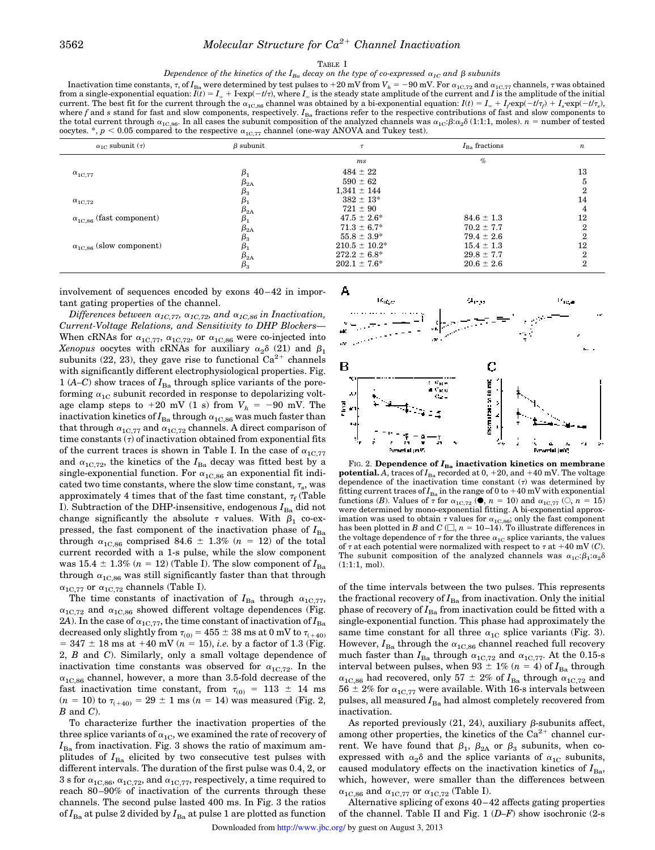### TABLE I

*Dependence of the kinetics of the*  $I_{Ba}$  *decay on the type of co-expressed*  $\alpha_{IC}$  and  $\beta$  *subunits* 

Inactivation time constants,  $\tau$ , of  $I_{Ba}$  were determined by test pulses to +20 mV from  $V_h = -90$  mV. For  $\alpha_{1C,72}$  and  $\alpha_{1C,77}$  channels,  $\tau$  was obtained from a single-exponential equation:  $I(t) = I_{\infty} + I$ -exp $(-t$ current. The best fit for the current through the  $\alpha_{1C,86}$  channel was obtained by a bi-exponential equation:  $I(t) = I_{\infty} + I_f \exp(-t/\tau_p) + I_s \exp(-t/\tau_s)$ , where  $f$  and  $s$  stand for fast and slow components, respectively.  $I_{Ba}$  fractions refer to the respective contributions of fast and slow components to the total current through  $\alpha_{1C,86}$ . In all cases the subunit composition of the analyzed channels was  $\alpha_{1C}$ ; $\beta$ ; $\alpha_2\delta$  (1:1:1, moles). *n* = number of tested oocytes. \*,  $p < 0.05$  compared to the respective  $\alpha_{1{\rm C},77}$  channel (one-way ANOVA and Tukey test).

| $\alpha_{1C}$ subunit $(\tau)$    | $\beta$ subunit |                    | $I_{\text{Ba}}$ fractions | $\boldsymbol{n}$ |
|-----------------------------------|-----------------|--------------------|---------------------------|------------------|
|                                   |                 | ms                 | $\%$                      |                  |
| $\alpha_{1C,77}$                  | β,              | $484 \pm 22$       |                           | 13               |
|                                   | $\beta_{2A}$    | $590 \pm 62$       |                           |                  |
|                                   | $\beta_3$       | $1,341 \pm 144$    |                           | $\overline{2}$   |
| $\alpha_{1{\rm C},72}$            |                 | $382 \pm 13^*$     |                           | 14               |
|                                   | $\beta_{2A}$    | $721 \pm 90$       |                           | 4                |
| $\alpha_{1C.86}$ (fast component) | $\beta_1$       | $47.5 \pm 2.6^*$   | $84.6 \pm 1.3$            | 12               |
|                                   | $\beta_{2A}$    | $71.3 \pm 6.7^*$   | $70.2 \pm 7.7$            | $\boldsymbol{2}$ |
|                                   | $\beta_3$       | $55.8 \pm 3.9^*$   | $79.4 \pm 2.6$            | $\mathbf{2}$     |
| $\alpha_{1C,86}$ (slow component) | $\beta_1$       | $210.5 \pm 10.2^*$ | $15.4 \pm 1.3$            | 12               |
|                                   | $\beta_{2A}$    | $272.2 \pm 6.8^*$  | $29.8 \pm 7.7$            | $\mathbf{2}$     |
|                                   | $\beta_{3}$     | $202.1 \pm 7.6^*$  | $20.6 \pm 2.6$            | $\overline{2}$   |

involvement of sequences encoded by exons 40–42 in important gating properties of the channel.

*Differences between*  $\alpha_{1C,77}$ ,  $\alpha_{1C,72}$ , and  $\alpha_{1C,86}$  *in Inactivation*, *Current-Voltage Relations, and Sensitivity to DHP Blockers—* When cRNAs for  $\alpha_{1C,77}$ ,  $\alpha_{1C,72}$ , or  $\alpha_{1C,86}$  were co-injected into *Xenopus* oocytes with cRNAs for auxiliary  $\alpha_2 \delta$  (21) and  $\beta_1$ subunits (22, 23), they gave rise to functional  $Ca^{2+}$  channels with significantly different electrophysiological properties. Fig. 1 ( $A-C$ ) show traces of  $I_{Ba}$  through splice variants of the poreforming  $\alpha_{1C}$  subunit recorded in response to depolarizing voltage clamp steps to  $+20$  mV (1 s) from  $V_h = -90$  mV. The inactivation kinetics of  $I_{Ba}$  through  $\alpha_{1C,86}$  was much faster than that through  $\alpha_{1C,77}$  and  $\alpha_{1C,72}$  channels. A direct comparison of time constants  $(τ)$  of inactivation obtained from exponential fits of the current traces is shown in Table I. In the case of  $\alpha_{1C,77}$ and  $\alpha_{1C,72}$ , the kinetics of the  $I_{Ba}$  decay was fitted best by a single-exponential function. For  $\alpha_{1C,86}$  an exponential fit indicated two time constants, where the slow time constant,  $\tau_{\rm s}$ , was approximately 4 times that of the fast time constant,  $\tau_f$  (Table I). Subtraction of the DHP-insensitive, endogenous  $I_{Ba}$  did not change significantly the absolute  $\tau$  values. With  $\beta_1$  co-expressed, the fast component of the inactivation phase of  $I_{Ba}$ through  $\alpha_{1C,86}$  comprised 84.6  $\pm$  1.3% (*n* = 12) of the total current recorded with a 1-s pulse, while the slow component was  $15.4 \pm 1.3\%$  ( $n = 12$ ) (Table I). The slow component of  $I_{Ba}$ through  $\alpha_{1C,86}$  was still significantly faster than that through  $\alpha_{1{\rm C},77}$  or  $\alpha_{1{\rm C},72}$  channels (Table I).

The time constants of inactivation of  $I_{Ba}$  through  $\alpha_{1C,77}$ ,  $\alpha_{1C,72}$  and  $\alpha_{1C,86}$  showed different voltage dependences (Fig. 2*A*). In the case of  $\alpha_{1C,77}$ , the time constant of inactivation of  $I_{Ba}$ decreased only slightly from  $\tau_{(0)} = 455 \pm 38$  ms at 0 mV to  $\tau_{(+40)}$  $= 347 \pm 18$  ms at  $+40$  mV ( $n = 15$ ), *i.e.* by a factor of 1.3 (Fig. 2, *B* and *C*). Similarly, only a small voltage dependence of inactivation time constants was observed for  $\alpha_{1C,72}$ . In the  $\alpha_{1C,86}$  channel, however, a more than 3.5-fold decrease of the fast inactivation time constant, from  $\tau_{(0)} = 113 \pm 14$  ms  $(n = 10)$  to  $\tau_{(+40)} = 29 \pm 1$  ms  $(n = 14)$  was measured (Fig. 2, *B* and *C*).

To characterize further the inactivation properties of the three splice variants of  $\alpha_{1C}$ , we examined the rate of recovery of  $I_{\text{Ba}}$  from inactivation. Fig. 3 shows the ratio of maximum amplitudes of  $I_{Ba}$  elicited by two consecutive test pulses with different intervals. The duration of the first pulse was 0.4, 2, or 3 s for  $\alpha_{1C,86}$ ,  $\alpha_{1C,72}$ , and  $\alpha_{1C,77}$ , respectively, a time required to reach 80–90% of inactivation of the currents through these channels. The second pulse lasted 400 ms. In Fig. 3 the ratios of  $I_{Ba}$  at pulse 2 divided by  $I_{Ba}$  at pulse 1 are plotted as function



FIG. 2. **Dependence of**  $I_{Ba}$  **inactivation kinetics on membrane potential.** *A*, traces of  $I_{Ba}$  recorded at 0, +20, and +40 mV. The voltage dependence of the inactivation time constant  $(\tau)$  was determined by fitting current traces of  $I_{Ba}$  in the range of 0 to  $+40$  mV with exponential functions (*B*). Values of  $\tau$  for  $\alpha_{1C,72}$  (**C**),  $n = 10$ ) and  $\alpha_{1C,77}$  ( $\odot$ ,  $n = 15$ ) were determined by mono-exponential fitting. A bi-exponential approximation was used to obtain  $\tau$  values for  $\alpha_{1C,86}$ ; only the fast component has been plotted in *B* and *C*  $(\square, n = 10-14)$ . To illustrate differences in the voltage dependence of  $\tau$  for the three  $\alpha_{1C}$  splice variants, the values of  $\tau$  at each potential were normalized with respect to  $\tau$  at  $+40$  mV (*C*). The subunit composition of the analyzed channels was  $\alpha_{1C}$ : $\beta_1$ : $\alpha_2\delta$ (1:1:1, mol).

of the time intervals between the two pulses. This represents the fractional recovery of  $I_{Ba}$  from inactivation. Only the initial phase of recovery of  $I_{Ba}$  from inactivation could be fitted with a single-exponential function. This phase had approximately the same time constant for all three  $\alpha_{1C}$  splice variants (Fig. 3). However,  $I_{Ba}$  through the  $\alpha_{1C,86}$  channel reached full recovery much faster than  $I_{Ba}$  through  $\alpha_{1C,72}$  and  $\alpha_{1C,77}$ . At the 0.15-s interval between pulses, when 93  $\pm$  1% ( $n = 4$ ) of  $I_{Ba}$  through  $\alpha_{1{\rm C},86}$  had recovered, only 57  $\pm$  2% of  $I_{\rm Ba}$  through  $\alpha_{1{\rm C},72}$  and  $56 \pm 2\%$  for  $\alpha_{1C,77}$  were available. With 16-s intervals between pulses, all measured  $I_{Ba}$  had almost completely recovered from inactivation.

As reported previously  $(21, 24)$ , auxiliary  $\beta$ -subunits affect, among other properties, the kinetics of the  $Ca^{2+}$  channel current. We have found that  $\beta_1$ ,  $\beta_{2A}$  or  $\beta_3$  subunits, when coexpressed with  $\alpha_2\delta$  and the splice variants of  $\alpha_{1C}$  subunits, caused modulatory effects on the inactivation kinetics of  $I_{Ba}$ , which, however, were smaller than the differences between  $\alpha_{1C,86}$  and  $\alpha_{1C,77}$  or  $\alpha_{1C,72}$  (Table I).

Alternative splicing of exons 40–42 affects gating properties of the channel. Table II and Fig. 1 (*D–F*) show isochronic (2-s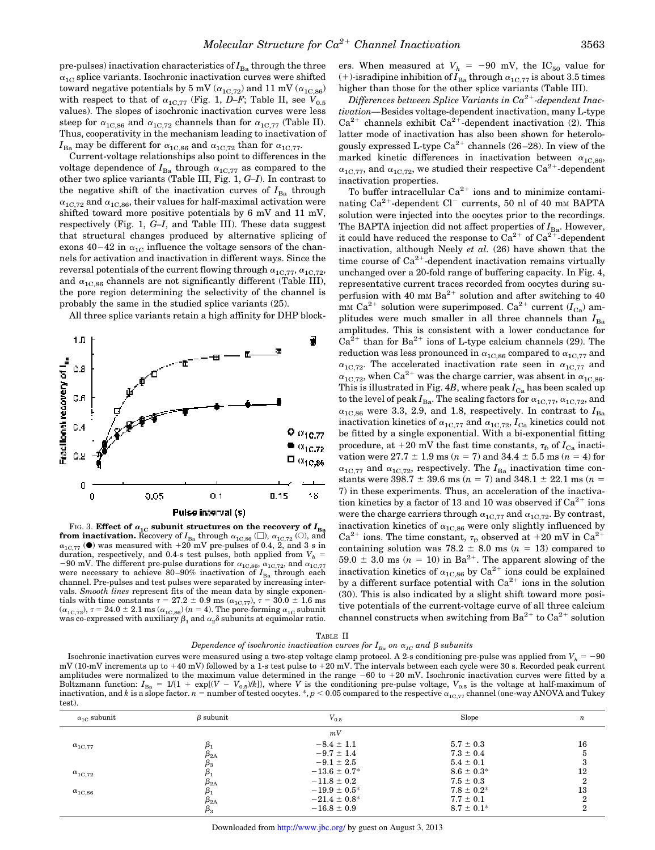pre-pulses) inactivation characteristics of  $I_{\text{Ba}}$  through the three  $\alpha_{1C}$  splice variants. Isochronic inactivation curves were shifted toward negative potentials by 5 mV ( $\alpha_{1C,72}$ ) and 11 mV ( $\alpha_{1C,86}$ ) with respect to that of  $\alpha_{1C,77}$  (Fig. 1, *D–F*; Table II, see  $\dot{V}_{0.5}$ values). The slopes of isochronic inactivation curves were less steep for  $\alpha_{1C,86}$  and  $\alpha_{1C,72}$  channels than for  $\alpha_{1C,77}$  (Table II). Thus, cooperativity in the mechanism leading to inactivation of  $I_{\text{Ba}}$  may be different for  $\alpha_{1\text{C},86}$  and  $\alpha_{1\text{C},72}$  than for  $\alpha_{1\text{C},77}$ .

Current-voltage relationships also point to differences in the voltage dependence of  $I_{Ba}$  through  $\alpha_{1C,77}$  as compared to the other two splice variants (Table III, Fig. 1, *G–I*). In contrast to the negative shift of the inactivation curves of  $I_{\text{Ba}}$  through  $\alpha_{1C,72}$  and  $\alpha_{1C,86}$ , their values for half-maximal activation were shifted toward more positive potentials by 6 mV and 11 mV, respectively (Fig. 1, *G–I*, and Table III). These data suggest that structural changes produced by alternative splicing of exons 40–42 in  $\alpha_{1C}$  influence the voltage sensors of the channels for activation and inactivation in different ways. Since the reversal potentials of the current flowing through  $\alpha_{1C,77}$ ,  $\alpha_{1C,72}$ , and  $\alpha_{1C,86}$  channels are not significantly different (Table III), the pore region determining the selectivity of the channel is probably the same in the studied splice variants (25).

All three splice variants retain a high affinity for DHP block-



FIG. 3. **Effect of**  $\alpha_{1C}$  **subunit structures on the recovery of**  $I_{\text{Ba}}$ **from inactivation.** Recovery of  $I_{Ba}$  through  $\alpha_{1C,86}$  ( $\Box$ ),  $\alpha_{1C,72}$  ( $\odot$ ), and  $\alpha_{1C,77}$  ( $\bullet$ ) was measured with +20 mV pre-pulses of 0.4, 2, and 3 s in duration, respectively, and 0.4-s test pulses, both applied from  $V_h$  = -90 mV. The different pre-pulse durations for  $\alpha_{1\text{C},86}$ ,  $\alpha_{1\text{C},72}$ , and  $\alpha_{1\text{C},77}$ were necessary to achieve 80–90% inactivation of  $I_{Ba}$  through each channel. Pre-pulses and test pulses were separated by increasing intervals. *Smooth lines* represent fits of the mean data by single exponentials with time constants  $\tau = 27.2 \pm 0.9$  ms ( $\alpha_{1C,77}$ ),  $\tau = 30.0 \pm 1.6$  ms  $(\alpha_{1C,72}), \tau = 24.0 \pm 2.1 \text{ ms } (\alpha_{1C,86}) (n = 4).$  The pore-forming  $\alpha_{1C}$  subunit was co-expressed with auxiliary  $\beta_1$  and  $\alpha_2$  $\delta$  subunits at equimolar ratio.

ers. When measured at  $V_h$  = -90 mV, the IC<sub>50</sub> value for (+)-isradipine inhibition of  $I_{\text{Ba}}$  through  $\alpha_{1\text{C},77}$  is about 3.5 times higher than those for the other splice variants (Table III).

*Differences between Splice Variants in Ca2*<sup>1</sup> *-dependent Inactivation—*Besides voltage-dependent inactivation, many L-type  $Ca^{2+}$  channels exhibit  $Ca^{2+}$ -dependent inactivation (2). This latter mode of inactivation has also been shown for heterologously expressed L-type  $Ca^{2+}$  channels (26–28). In view of the marked kinetic differences in inactivation between  $\alpha_{1C,86}$ ,  $\alpha_{1C,77}$ , and  $\alpha_{1C,72}$ , we studied their respective Ca<sup>2+</sup>-dependent inactivation properties.

To buffer intracellular  $Ca^{2+}$  ions and to minimize contaminating  $Ca^{2+}$ -dependent  $Cl^{-}$  currents, 50 nl of 40 mm BAPTA solution were injected into the oocytes prior to the recordings. The BAPTA injection did not affect properties of  $I_{Ba}$ . However, it could have reduced the response to  $Ca^{2+}$  of  $Ca^{2+}$ -dependent inactivation, although Neely *et al.* (26) have shown that the time course of  $Ca^{2+}$ -dependent inactivation remains virtually unchanged over a 20-fold range of buffering capacity. In Fig. 4, representative current traces recorded from oocytes during superfusion with 40 mm  $Ba^{2+}$  solution and after switching to 40 m<sub>M</sub> Ca<sup>2+</sup> solution were superimposed. Ca<sup>2+</sup> current  $(I_{Ca}^{\sigma})$  amplitudes were much smaller in all three channels than  $I_{\text{Ba}}$ amplitudes. This is consistent with a lower conductance for  $Ca<sup>2+</sup>$  than for Ba<sup>2+</sup> ions of L-type calcium channels (29). The reduction was less pronounced in  $\alpha_{1C,86}$  compared to  $\alpha_{1C,77}$  and  $\alpha_{1C,72}$ . The accelerated inactivation rate seen in  $\alpha_{1C,77}$  and  $\alpha_{1C,72}$ , when Ca<sup>2+</sup> was the charge carrier, was absent in  $\alpha_{1C,86}$ . This is illustrated in Fig.  $4B$ , where peak  $I_{Ca}$  has been scaled up to the level of peak  $I_{Ba}$ . The scaling factors for  $\alpha_{1C,77}$ ,  $\alpha_{1C,72}$ , and  $\alpha_{1C,86}$  were 3.3, 2.9, and 1.8, respectively. In contrast to  $I_{Ba}$ inactivation kinetics of  $\alpha_{1C,77}$  and  $\alpha_{1C,72}$ ,  $I_{\text{Ca}}$  kinetics could not be fitted by a single exponential. With a bi-exponential fitting procedure, at  $+20$  mV the fast time constants,  $\tau_{\text{f}}$ , of  $I_{\text{Ca}}$  inactivation were  $27.7 \pm 1.9$  ms ( $n = 7$ ) and  $34.4 \pm 5.5$  ms ( $n = 4$ ) for  $\alpha_{1C,77}$  and  $\alpha_{1C,72}$ , respectively. The  $I_{Ba}$  inactivation time constants were 398.7  $\pm$  39.6 ms (*n* = 7) and 348.1  $\pm$  22.1 ms (*n* = 7) in these experiments. Thus, an acceleration of the inactivation kinetics by a factor of 13 and 10 was observed if  $Ca^{2+}$  ions were the charge carriers through  $\alpha_{1C,77}$  and  $\alpha_{1C,72}$ . By contrast, inactivation kinetics of  $\alpha_{1C,86}$  were only slightly influenced by Ca<sup>2+</sup> ions. The time constant,  $\tau_f$ , observed at +20 mV in Ca<sup>2+</sup> containing solution was 78.2  $\pm$  8.0 ms ( $n = 13$ ) compared to  $59.0 \pm 3.0$  ms ( $n = 10$ ) in Ba<sup>2+</sup>. The apparent slowing of the inactivation kinetics of  $\alpha_{1C,86}$  by Ca<sup>2+</sup> ions could be explained by a different surface potential with  $Ca^{2+}$  ions in the solution (30). This is also indicated by a slight shift toward more positive potentials of the current-voltage curve of all three calcium channel constructs when switching from Ba<sup>2+</sup> to Ca<sup>2+</sup> solution

#### TABLE II *Dependence of isochronic inactivation curves for*  $I_{Ba}$  *on*  $\alpha_{1C}$  *and*  $\beta$  *subunits*

Isochronic inactivation curves were measured using a two-step voltage clamp protocol. A 2-s conditioning pre-pulse was applied from  $V_h = -90$ mV (10-mV increments up to 140 mV) followed by a 1-s test pulse to 120 mV. The intervals between each cycle were 30 s. Recorded peak current amplitudes were normalized to the maximum value determined in the range  $-60$  to  $+20$  mV. Isochronic inactivation curves were fitted by a Boltzmann function:  $I_{Ba} = 1/(1 + \exp[(V - V_{0.5})/k])$ , where *V* is the conditioning pre-pulse voltage,  $V_{0.5}$  is the voltage at half-maximum of inactivation, and *k* is a slope factor. *n* = number of tested oocytes. \*, *p* < 0.05 compared to the respective  $\alpha_{1C,77}$  channel (one-way ANOVA and Tukey test).

| $\alpha_{1C}$ subunit  | $\beta$ subunit       | $V_{0.5}$         | Slope           | $\boldsymbol{n}$ |
|------------------------|-----------------------|-------------------|-----------------|------------------|
|                        |                       | mV                |                 |                  |
| $\alpha_{1C,77}$       | $\beta_1$             | $-8.4 \pm 1.1$    | $5.7 \pm 0.3$   | 16               |
|                        | $\beta_{2A}$          | $-9.7 \pm 1.4$    | $7.3 \pm 0.4$   |                  |
|                        | $\beta_3$             | $-9.1 \pm 2.5$    | $5.4 \pm 0.1$   | 3                |
| $\alpha_{1{\rm C},72}$ | p,                    | $-13.6 \pm 0.7^*$ | $8.6 \pm 0.3^*$ | 12               |
|                        | $\beta_{2A}$          | $-11.8 \pm 0.2$   | $7.5 \pm 0.3$   |                  |
| $\alpha_{\rm 1C,86}$   | $\beta_1$             | $-19.9 \pm 0.5^*$ | $7.8 \pm 0.2^*$ | 13               |
|                        | $\beta_{2\mathrm{A}}$ | $-21.4 \pm 0.8^*$ | $7.7 \pm 0.1$   |                  |
|                        | $\beta_3$             | $-16.8 \pm 0.9$   | $8.7 \pm 0.1^*$ | 2                |
|                        |                       |                   |                 |                  |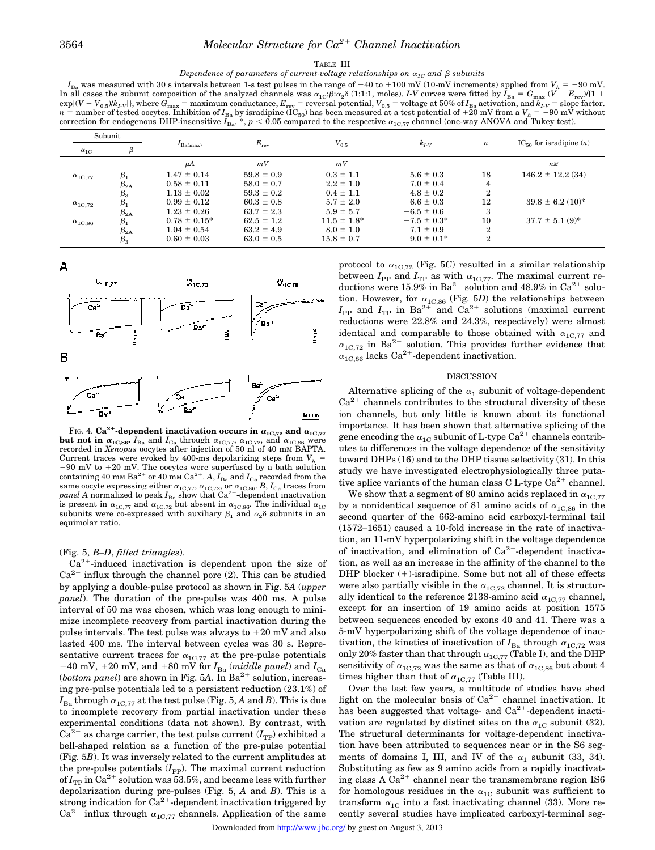#### TABLE III

*Dependence of parameters of current-voltage relationships on*  $\alpha_{1C}$  *and*  $\beta$  *subunits* 

 $I_{\text{Ba}}$  was measured with 30 s intervals between 1-s test pulses in the range of  $-40$  to  $+100$  mV (10-mV increments) applied from  $V_h = -90$  mV. In all cases the subunit composition of the analyzed channels was  $\alpha_{1C} \beta : \alpha_2 \delta(1:1:1)$ , moles). *I-V* curves were fitted by  $\hat{I}_{Ba} = G_{max} (V - E_{rev})/(1 +$  $\exp[(V - V_{0.5})/k_L]$ , where  $G_{\text{max}} = \text{maximum conductance}, E_{\text{rev}} = \text{reversal potential}, V_{0.5} = \text{voltage at 50\% of } I_{\text{Ba}}$  activation, and  $k_L = \text{slope factor}$ .  $n =$  number of tested oocytes. Inhibition of  $I_{\text{Ba}}$  by isradipine (IC<sub>50</sub>) has been measured at a test potential of +20 mV from a  $V_h = -90$  mV without correction for endogenous DHP-insensitive  $I_{\text{Ba}}^*$ ,  $p < 0.05$  compared to the respective  $\alpha_{1C,77}$  channel (one-way ANOVA and Tukey test).

| Subunit                |                       |                   |                |                  |                  |                  |                                  |  |
|------------------------|-----------------------|-------------------|----------------|------------------|------------------|------------------|----------------------------------|--|
| $\alpha_{1C}$          | β                     | $I_{Ba(max)}$     | $E_{\rm rev}$  | $V_{0.5}$        | $k_{I\text{-}V}$ | $\boldsymbol{n}$ | $IC_{50}$ for isradipine $(n)$   |  |
|                        |                       | μA                | mV             | mV               |                  |                  | $n$ <sub>M</sub>                 |  |
| $\alpha_{1C.77}$       | $\beta_1$             | $1.47 \pm 0.14$   | $59.8 \pm 0.9$ | $-0.3 \pm 1.1$   | $-5.6 \pm 0.3$   | 18               | $146.2 \pm 12.2$ (34)            |  |
|                        | $\beta_{2\mathrm{A}}$ | $0.58 \pm 0.11$   | $58.0 \pm 0.7$ | $2.2 \pm 1.0$    | $-7.0 \pm 0.4$   | 4                |                                  |  |
|                        | $\beta_3$             | $1.13 \pm 0.02$   | $59.3 \pm 0.2$ | $0.4 \pm 1.1$    | $-4.8 \pm 0.2$   | $\overline{2}$   |                                  |  |
| $\alpha_{1C.72}$       | $\beta_1$             | $0.99 \pm 0.12$   | $60.3 \pm 0.8$ | $5.7 \pm 2.0$    | $-6.6 \pm 0.3$   | 12               | $39.8 \pm 6.2$ (10) <sup>*</sup> |  |
|                        | $\beta_{2A}$          | $1.23 \pm 0.26$   | $63.7 \pm 2.3$ | $5.9 \pm 5.7$    | $-6.5 \pm 0.6$   | 3                |                                  |  |
| $\alpha_{1{\rm C},86}$ | $\beta_1$             | $0.78 \pm 0.15^*$ | $62.5 \pm 1.2$ | $11.5 \pm 1.8^*$ | $-7.5 \pm 0.3^*$ | 10               | $37.7 \pm 5.1$ (9)*              |  |
|                        | $\beta_{2A}$          | $1.04 \pm 0.54$   | $63.2 \pm 4.9$ | $8.0 \pm 1.0$    | $-7.1 \pm 0.9$   | $\overline{2}$   |                                  |  |
|                        | $\beta_{3}$           | $0.60 \pm 0.03$   | $63.0 \pm 0.5$ | $15.8 \pm 0.7$   | $-9.0 \pm 0.1^*$ | $\overline{2}$   |                                  |  |





FIG. 4.  $Ca^{2+}$ -dependent inactivation occurs in  $\alpha_{1C,72}$  and  $\alpha_{1C,77}$ **but not in**  $\alpha_{1C,86}$ ,  $I_{Ba}$  and  $I_{Ca}$  through  $\alpha_{1C,77}$ ,  $\alpha_{1C,72}$ , and  $\alpha_{1C,86}$  were recorded in *Xenopus* oocytes after injection of 50 nl of 40 mm BAPTA. Current traces were evoked by 400-ms depolarizing steps from  $V_h$  =  $-90$  mV to  $+20$  mV. The oocytes were superfused by a bath solution containing 40 mM Ba<sup>2+</sup> or 40 mM  $\text{Ca}^{2+}$ . *A*,  $I_{\text{Ba}}$  and  $I_{\text{Ca}}$  recorded from the same oocyte expressing either  $\alpha_{1C,77}$ ,  $\alpha_{1C,72}$ , or  $\alpha_{1C,86}$ . *B*,  $I_{Ca}$  traces from *panel A* normalized to peak  $I_{Ba}$  show that Ca<sup>2+</sup>-dependent inactivation is present in  $\alpha_{1C,77}$  and  $\alpha_{1C,72}$  but absent in  $\alpha_{1C,86}$ . The individual  $\alpha_{1C}$ subunits were co-expressed with auxiliary  $\beta_1$  and  $\alpha_2\delta$  subunits in an equimolar ratio.

## (Fig. 5, *B–D*, *filled triangles*).

 $Ca<sup>2+</sup>$ -induced inactivation is dependent upon the size of  $Ca<sup>2+</sup>$  influx through the channel pore (2). This can be studied by applying a double-pulse protocol as shown in Fig. 5*A* (*upper panel*). The duration of the pre-pulse was 400 ms. A pulse interval of 50 ms was chosen, which was long enough to minimize incomplete recovery from partial inactivation during the pulse intervals. The test pulse was always to  $+20$  mV and also lasted 400 ms. The interval between cycles was 30 s. Representative current traces for  $\alpha_{1C,77}$  at the pre-pulse potentials  $-40$  mV,  $+20$  mV, and  $+80$  mV for  $I_{Ba}$  (*middle panel*) and  $I_{Ca}$  $(bottom panel)$  are shown in Fig. 5A. In Ba<sup>2+</sup> solution, increasing pre-pulse potentials led to a persistent reduction (23.1%) of  $I_{Ba}$  through  $\alpha_{1C,77}$  at the test pulse (Fig. 5, *A* and *B*). This is due to incomplete recovery from partial inactivation under these experimental conditions (data not shown). By contrast, with  $Ca^{2+}$  as charge carrier, the test pulse current  $(I_{TP})$  exhibited a bell-shaped relation as a function of the pre-pulse potential (Fig. 5*B*). It was inversely related to the current amplitudes at the pre-pulse potentials  $(I_{\text{PP}})$ . The maximal current reduction of  $I_{\text{TP}}$  in Ca<sup>2+</sup> solution was 53.5%, and became less with further depolarization during pre-pulses (Fig. 5, *A* and *B*). This is a strong indication for  $Ca^{2+}$ -dependent inactivation triggered by  $Ca^{2+}$  influx through  $\alpha_{1C,77}$  channels. Application of the same

protocol to  $\alpha_{1C,72}$  (Fig. 5*C*) resulted in a similar relationship between  $I_{\text{PP}}$  and  $I_{\text{TP}}$  as with  $\alpha_{1C,77}$ . The maximal current reductions were  $15.9\%$  in Ba<sup>2+</sup> solution and 48.9% in Ca<sup>2+</sup> solution. However, for  $\alpha_{1C,86}$  (Fig. 5*D*) the relationships between  $I_{\text{PP}}$  and  $I_{\text{TP}}$  in Ba<sup>2+</sup> and Ca<sup>2+</sup> solutions (maximal current reductions were 22.8% and 24.3%, respectively) were almost identical and comparable to those obtained with  $\alpha_{1C,77}$  and  $\alpha_{1C,72}$  in Ba<sup>2+</sup> solution. This provides further evidence that  $\alpha_{1C,86}$  lacks Ca<sup>2+</sup>-dependent inactivation.

### DISCUSSION

Alternative splicing of the  $\alpha_1$  subunit of voltage-dependent  $Ca<sup>2+</sup>$  channels contributes to the structural diversity of these ion channels, but only little is known about its functional importance. It has been shown that alternative splicing of the gene encoding the  $\alpha_{1C}$  subunit of L-type Ca<sup>2+</sup> channels contributes to differences in the voltage dependence of the sensitivity toward DHPs (16) and to the DHP tissue selectivity (31). In this study we have investigated electrophysiologically three putative splice variants of the human class C L-type  $\text{Ca}^{2+}$  channel.

We show that a segment of 80 amino acids replaced in  $\alpha_{1C,77}$ by a nonidentical sequence of 81 amino acids of  $\alpha_{1C,86}$  in the second quarter of the 662-amino acid carboxyl-terminal tail (1572–1651) caused a 10-fold increase in the rate of inactivation, an 11-mV hyperpolarizing shift in the voltage dependence of inactivation, and elimination of  $Ca^{2+}$ -dependent inactivation, as well as an increase in the affinity of the channel to the DHP blocker  $(+)$ -isradipine. Some but not all of these effects were also partially visible in the  $\alpha_{1C,72}$  channel. It is structurally identical to the reference 2138-amino acid  $\alpha_{1C,77}$  channel, except for an insertion of 19 amino acids at position 1575 between sequences encoded by exons 40 and 41. There was a 5-mV hyperpolarizing shift of the voltage dependence of inactivation, the kinetics of inactivation of  $I_{Ba}$  through  $\alpha_{1C,72}$  was only 20% faster than that through  $\alpha_{1C,77}$  (Table I), and the DHP sensitivity of  $\alpha_{1C,72}$  was the same as that of  $\alpha_{1C,86}$  but about 4 times higher than that of  $\alpha_{1C,77}$  (Table III).

Over the last few years, a multitude of studies have shed light on the molecular basis of  $Ca^{2+}$  channel inactivation. It has been suggested that voltage- and  $Ca^{2+}$ -dependent inactivation are regulated by distinct sites on the  $\alpha_{1C}$  subunit (32). The structural determinants for voltage-dependent inactivation have been attributed to sequences near or in the S6 segments of domains I, III, and IV of the  $\alpha_1$  subunit (33, 34). Substituting as few as 9 amino acids from a rapidly inactivating class A  $Ca^{2+}$  channel near the transmembrane region IS6 for homologous residues in the  $\alpha_{1C}$  subunit was sufficient to transform  $\alpha_{1C}$  into a fast inactivating channel (33). More recently several studies have implicated carboxyl-terminal seg-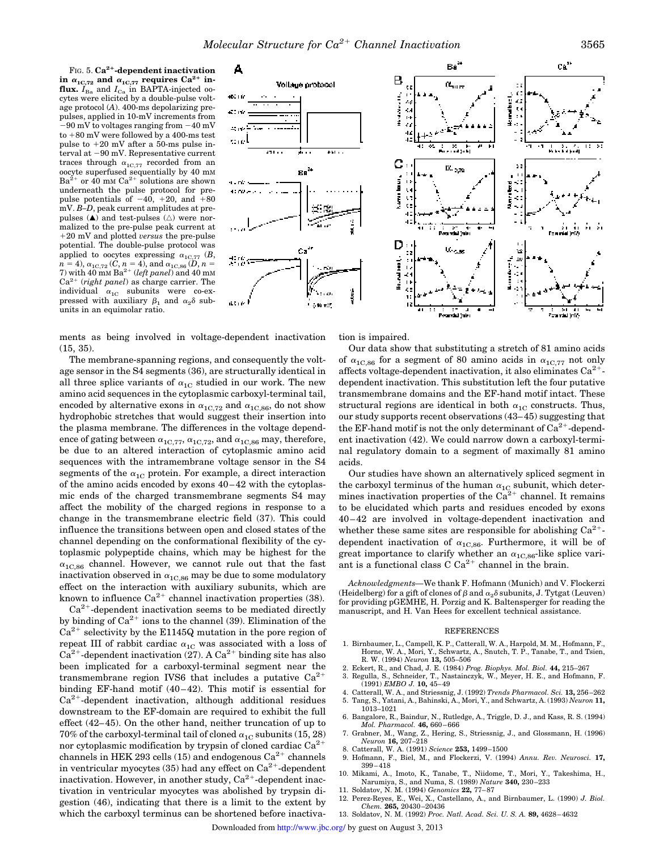FIG. 5. **Ca2**<sup>1</sup> **-dependent inactivation** in  $\alpha_{1C,72}$  and  $\alpha_{1C,77}$  requires  $Ca^{2+}$  in**flux.**  $I_{Ba}$  and  $I_{Ca}$  in BAPTA-injected oocytes were elicited by a double-pulse voltage protocol (*A*). 400-ms depolarizing prepulses, applied in 10-mV increments from  $-90$  mV to voltages ranging from  $-40$  mV to  $+80$  mV were followed by a 400-ms test pulse to  $+20$  mV after a 50-ms pulse interval at  $-90$  mV. Representative current traces through  $\alpha_{1C,77}$  recorded from an oocyte superfused sequentially by 40 mM  $Ba^{2+}$  or 40 mm  $Ca^{2+}$  solutions are shown underneath the pulse protocol for prepulse potentials of  $-40$ ,  $+20$ , and  $+80$ mV. *B–D*, peak current amplitudes at prepulses  $(A)$  and test-pulses  $(\triangle)$  were normalized to the pre-pulse peak current at 120 mV and plotted *versus* the pre-pulse potential. The double-pulse protocol was applied to oocytes expressing  $\alpha_{1C,77}$  (*B*,  $n = 4$ ),  $\alpha_{1C,72}$  (*C*,  $n = 4$ ), and  $\alpha_{1C,86}$  (*D*,  $n = 7$ ) with 40 mm Ba<sup>2+</sup> (*left panel*) and 40 mm Ca2<sup>1</sup> (*right panel*) as charge carrier. The individual  $\alpha_{1C}$  subunits were co-expressed with auxiliary  $\beta_1$  and  $\alpha_2\delta$  subunits in an equimolar ratio.



ments as being involved in voltage-dependent inactivation (15, 35).

The membrane-spanning regions, and consequently the voltage sensor in the S4 segments (36), are structurally identical in all three splice variants of  $\alpha_{1C}$  studied in our work. The new amino acid sequences in the cytoplasmic carboxyl-terminal tail, encoded by alternative exons in  $\alpha_{1{\rm C},72}$  and  $\alpha_{1{\rm C},86}$ , do not show hydrophobic stretches that would suggest their insertion into the plasma membrane. The differences in the voltage dependence of gating between  $\alpha_{1C,77}$ ,  $\alpha_{1C,72}$ , and  $\alpha_{1C,86}$  may, therefore, be due to an altered interaction of cytoplasmic amino acid sequences with the intramembrane voltage sensor in the S4 segments of the  $\alpha_{1C}$  protein. For example, a direct interaction of the amino acids encoded by exons 40–42 with the cytoplasmic ends of the charged transmembrane segments S4 may affect the mobility of the charged regions in response to a change in the transmembrane electric field (37). This could influence the transitions between open and closed states of the channel depending on the conformational flexibility of the cytoplasmic polypeptide chains, which may be highest for the  $\alpha_{1C,86}$  channel. However, we cannot rule out that the fast inactivation observed in  $\alpha_{1C,86}$  may be due to some modulatory effect on the interaction with auxiliary subunits, which are known to influence  $Ca^{2+}$  channel inactivation properties (38).

 $Ca<sup>2+</sup>$ -dependent inactivation seems to be mediated directly by binding of  $Ca^{2+}$  ions to the channel (39). Elimination of the  $Ca<sup>2+</sup>$  selectivity by the E1145Q mutation in the pore region of repeat III of rabbit cardiac  $\alpha_{1C}$  was associated with a loss of  $Ca<sup>2+</sup>$ -dependent inactivation (27). A  $Ca<sup>2+</sup>$  binding site has also been implicated for a carboxyl-terminal segment near the transmembrane region IVS6 that includes a putative  $Ca^{2+}$ binding EF-hand motif (40–42). This motif is essential for  $Ca<sup>2+</sup>$ -dependent inactivation, although additional residues downstream to the EF-domain are required to exhibit the full effect (42–45). On the other hand, neither truncation of up to 70% of the carboxyl-terminal tail of cloned  $\alpha_{1C}$  subunits (15, 28) nor cytoplasmic modification by trypsin of cloned cardiac  $Ca^{2+}$ channels in HEK 293 cells (15) and endogenous  $Ca^{2+}$  channels in ventricular myocytes  $(35)$  had any effect on  $Ca^{2+}$ -dependent inactivation. However, in another study,  $Ca^{2+}$ -dependent inactivation in ventricular myocytes was abolished by trypsin digestion (46), indicating that there is a limit to the extent by which the carboxyl terminus can be shortened before inactivation is impaired.

Our data show that substituting a stretch of 81 amino acids of  $\alpha_{1C,86}$  for a segment of 80 amino acids in  $\alpha_{1C,77}$  not only affects voltage-dependent inactivation, it also eliminates  $Ca^{2+}$ dependent inactivation. This substitution left the four putative transmembrane domains and the EF-hand motif intact. These structural regions are identical in both  $\alpha_{1C}$  constructs. Thus, our study supports recent observations (43–45) suggesting that the EF-hand motif is not the only determinant of  $\widetilde{Ca}^{2+}$ -dependent inactivation (42). We could narrow down a carboxyl-terminal regulatory domain to a segment of maximally 81 amino acids.

Our studies have shown an alternatively spliced segment in the carboxyl terminus of the human  $\alpha_{1{\rm C}}$  subunit, which determines inactivation properties of the  $Ca^{2+}$  channel. It remains to be elucidated which parts and residues encoded by exons 40–42 are involved in voltage-dependent inactivation and whether these same sites are responsible for abolishing  $Ca^{2+}$ dependent inactivation of  $\alpha_{1C,86}$ . Furthermore, it will be of great importance to clarify whether an  $\alpha_{1C,86}$ -like splice variant is a functional class  $\overrightarrow{C}$   $\overrightarrow{Ca}^{2+}$  channel in the brain.

*Acknowledgments—*We thank F. Hofmann (Munich) and V. Flockerzi (Heidelberg) for a gift of clones of  $\beta$  and  $\alpha_2\delta$  subunits, J. Tytgat (Leuven) for providing pGEMHE, H. Porzig and K. Baltensperger for reading the manuscript, and H. Van Hees for excellent technical assistance.

## REFERENCES

- 1. Birnbaumer, L., Campell, K. P., Catterall, W. A., Harpold, M. M., Hofmann, F., Horne, W. A., Mori, Y., Schwartz, A., Snutch, T. P., Tanabe, T., and Tsien, R. W. (1994) *Neuron* **13,** 505–506
- 2. Eckert, R., and Chad, J. E. (1984) *Prog. Biophys. Mol. Biol.* **44,** 215–267
- 3. Regulla, S., Schneider, T., Nastainczyk, W., Meyer, H. E., and Hofmann, F. (1991) *EMBO J.* **10,** 45–49
- 4. Catterall, W. A., and Striessnig, J. (1992) *Trends Pharmacol. Sci.* **13,** 256–262 5. Tang, S., Yatani, A., Bahinski, A., Mori, Y., and Schwartz, A. (1993) *Neuron* **11,**
- 1013–1021 6. Bangalore, R., Baindur, N., Rutledge, A., Triggle, D. J., and Kass, R. S. (1994)
- *Mol. Pharmacol.* **46,** 660–666 7. Grabner, M., Wang, Z., Hering, S., Striessnig, J., and Glossmann, H. (1996)
- *Neuron* **16,** 207–218 8. Catterall, W. A. (1991) *Science* **253,** 1499–1500
- 9. Hofmann, F., Biel, M., and Flockerzi, V. (1994) *Annu. Rev. Neurosci.* **17,**
- 399–418 10. Mikami, A., Imoto, K., Tanabe, T., Niidome, T., Mori, Y., Takeshima, H.,
- Narumiya, S., and Numa, S. (1989) *Nature* **340,** 230–233
- 11. Soldatov, N. M. (1994) *Genomics* **22,** 77–87
- 12. Perez-Reyes, E., Wei, X., Castellano, A., and Birnbaumer, L. (1990) *J. Biol. Chem.* **265,** 20430–20436
- 13. Soldatov, N. M. (1992) *Proc. Natl. Acad. Sci. U. S. A.* **89,** 4628–4632